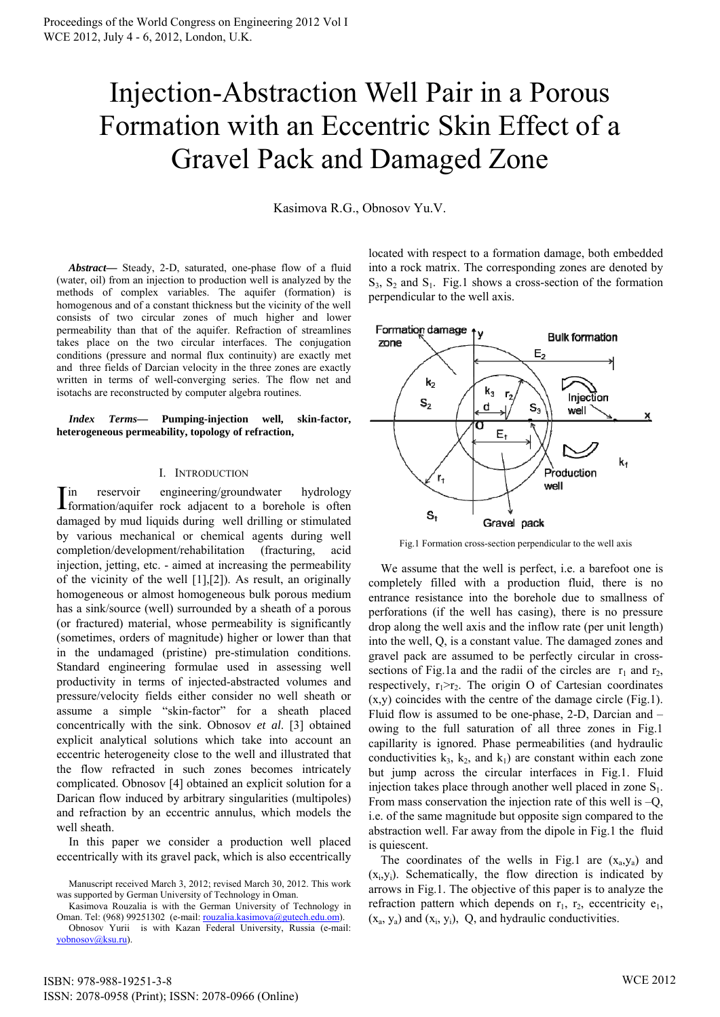## Injection-Abstraction Well Pair in a Porous Formation with an Eccentric Skin Effect of a Gravel Pack and Damaged Zone

Kasimova R.G., Obnosov Yu.V.

*Abstract***—** Steady, 2-D, saturated, one-phase flow of a fluid (water, oil) from an injection to production well is analyzed by the methods of complex variables. The aquifer (formation) is homogenous and of a constant thickness but the vicinity of the well consists of two circular zones of much higher and lower permeability than that of the aquifer. Refraction of streamlines takes place on the two circular interfaces. The conjugation conditions (pressure and normal flux continuity) are exactly met and three fields of Darcian velocity in the three zones are exactly written in terms of well-converging series. The flow net and isotachs are reconstructed by computer algebra routines.

*Index Terms***— Pumping-injection well, skin-factor, heterogeneous permeability, topology of refraction,** 

## I. INTRODUCTION

in reservoir engineering/groundwater hydrology In reservoir engineering/groundwater hydrology<br>formation/aquifer rock adjacent to a borehole is often damaged by mud liquids during well drilling or stimulated by various mechanical or chemical agents during well completion/development/rehabilitation (fracturing, acid injection, jetting, etc. - aimed at increasing the permeability of the vicinity of the well [1],[2]). As result, an originally homogeneous or almost homogeneous bulk porous medium has a sink/source (well) surrounded by a sheath of a porous (or fractured) material, whose permeability is significantly (sometimes, orders of magnitude) higher or lower than that in the undamaged (pristine) pre-stimulation conditions. Standard engineering formulae used in assessing well productivity in terms of injected-abstracted volumes and pressure/velocity fields either consider no well sheath or assume a simple "skin-factor" for a sheath placed concentrically with the sink. Obnosov *et al*. [3] obtained explicit analytical solutions which take into account an eccentric heterogeneity close to the well and illustrated that the flow refracted in such zones becomes intricately complicated. Obnosov [4] obtained an explicit solution for a Darican flow induced by arbitrary singularities (multipoles) and refraction by an eccentric annulus, which models the well sheath.

 In this paper we consider a production well placed eccentrically with its gravel pack, which is also eccentrically

Kasimova Rouzalia is with the German University of Technology in Oman. Tel: (968) 99251302 (e-mail: [rouzalia.kasimova@gutech.edu.om\)](mailto:rouzalia.kasimova@gutech.edu.om).

located with respect to a formation damage, both embedded into a rock matrix. The corresponding zones are denoted by  $S_3$ ,  $S_2$  and  $S_1$ . Fig.1 shows a cross-section of the formation perpendicular to the well axis.



Fig.1 Formation cross-section perpendicular to the well axis

We assume that the well is perfect, i.e. a barefoot one is completely filled with a production fluid, there is no entrance resistance into the borehole due to smallness of perforations (if the well has casing), there is no pressure drop along the well axis and the inflow rate (per unit length) into the well, Q, is a constant value. The damaged zones and gravel pack are assumed to be perfectly circular in crosssections of Fig.1a and the radii of the circles are  $r_1$  and  $r_2$ , respectively,  $r_1>r_2$ . The origin O of Cartesian coordinates  $(x,y)$  coincides with the centre of the damage circle (Fig.1). Fluid flow is assumed to be one-phase, 2-D, Darcian and – owing to the full saturation of all three zones in Fig.1 capillarity is ignored. Phase permeabilities (and hydraulic conductivities  $k_3$ ,  $k_2$ , and  $k_1$ ) are constant within each zone but jump across the circular interfaces in Fig.1. Fluid injection takes place through another well placed in zone  $S_1$ . From mass conservation the injection rate of this well is  $-Q$ , i.e. of the same magnitude but opposite sign compared to the abstraction well. Far away from the dipole in Fig.1 the fluid is quiescent.

The coordinates of the wells in Fig.1 are  $(x_a, y_a)$  and  $(x_i, y_i)$ . Schematically, the flow direction is indicated by arrows in Fig.1. The objective of this paper is to analyze the refraction pattern which depends on  $r_1$ ,  $r_2$ , eccentricity  $e_1$ ,  $(x_a, y_a)$  and  $(x_i, y_i)$ , Q, and hydraulic conductivities.

Manuscript received March 3, 2012; revised March 30, 2012. This work was supported by German University of Technology in Oman.

Obnosov Yurii is with Kazan Federal University, Russia (e-mail: [yobnosov@ksu.ru](mailto:yobnosov@ksu.ru)).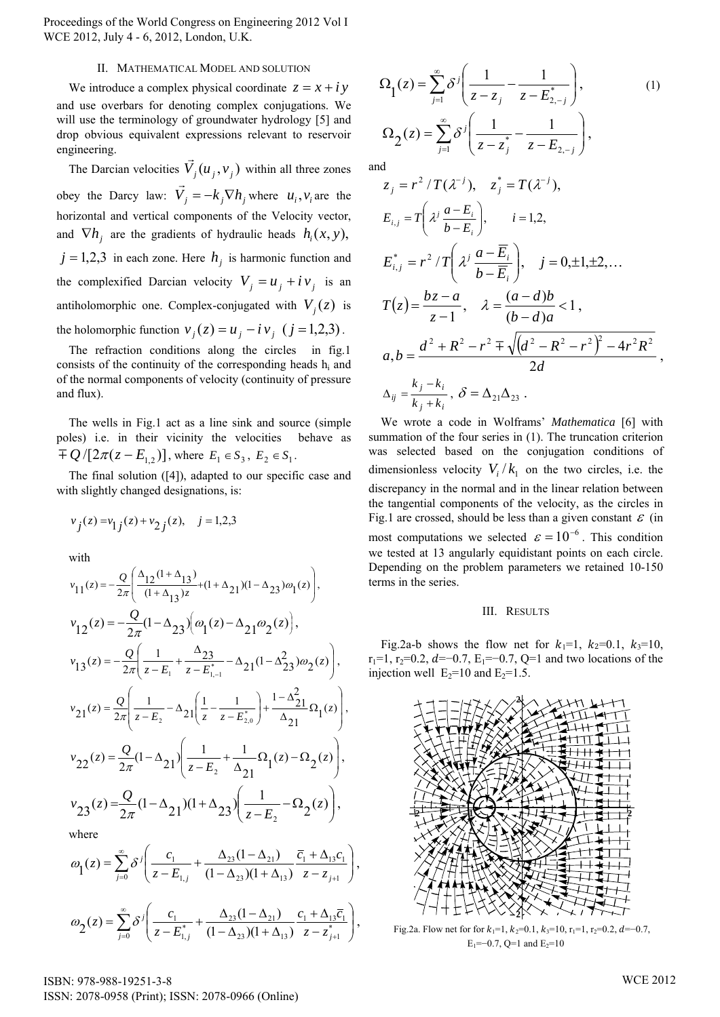Proceedings of the World Congress on Engineering 2012 Vol I WCE 2012, July 4 - 6, 2012, London, U.K.

## II. MATHEMATICAL MODEL AND SOLUTION

We introduce a complex physical coordinate  $z = x + i y$ and use overbars for denoting complex conjugations. We will use the terminology of groundwater hydrology [5] and drop obvious equivalent expressions relevant to reservoir engineering.

The Darcian velocities  $\vec{V}_j(u_j, v_j)$  within all three zones obey the Darcy law:  $\vec{V}_j = -k_j \nabla h_j$  where  $u_i, v_i$  are the horizontal and vertical components of the Velocity vector, and  $\nabla h_j$  are the gradients of hydraulic heads  $h_i(x, y)$ ,  $j = 1,2,3$  in each zone. Here  $h_j$  is harmonic function and the complexified Darcian velocity  $V_j = u_j + iv_j$  is an antiholomorphic one. Complex-conjugated with  $V_j(z)$  is the holomorphic function  $v_j(z) = u_j - i v_j$  ( $j = 1,2,3$ ).  $u_i$ ,  $v_i$ 

The refraction conditions along the circles in fig.1 consists of the continuity of the corresponding heads hi and of the normal components of velocity (continuity of pressure and flux).

The wells in Fig.1 act as a line sink and source (simple poles) i.e. in their vicinity the velocities behave as  $\overline{P}(Q)$  [2 $\pi(z - E_{1,2})$ ], where  $E_1 \in S_3$ ,  $E_2 \in S_1$ .

The final solution ([4]), adapted to our specific case and with slightly changed designations, is:

$$
v_j(z) = v_{1j}(z) + v_{2j}(z), \quad j = 1,2,3
$$

with

$$
v_{11}(z) = -\frac{Q}{2\pi} \left( \frac{\Delta_{12}(1+\Delta_{13})}{(1+\Delta_{13})z} + (1+\Delta_{21})(1-\Delta_{23})\omega_1(z) \right),
$$
  
\n
$$
v_{12}(z) = -\frac{Q}{2\pi} (1-\Delta_{23}) \left( \omega_1(z) - \Delta_{21} \omega_2(z) \right),
$$
  
\n
$$
v_{13}(z) = -\frac{Q}{2\pi} \left( \frac{1}{z - E_1} + \frac{\Delta_{23}}{z - E_{1,-1}} - \Delta_{21} (1-\Delta_{23}^2) \omega_2(z) \right),
$$
  
\n
$$
v_{21}(z) = \frac{Q}{2\pi} \left( \frac{1}{z - E_2} - \Delta_{21} \left( \frac{1}{z} - \frac{1}{z - E_{2,0}} \right) + \frac{1-\Delta_{21}^2}{\Delta_{21}} \Omega_1(z) \right),
$$
  
\n
$$
v_{22}(z) = \frac{Q}{2\pi} (1-\Delta_{21}) \left( \frac{1}{z - E_2} + \frac{1}{\Delta_{21}} \Omega_1(z) - \Omega_2(z) \right),
$$
  
\n
$$
v_{23}(z) = \frac{Q}{2\pi} (1-\Delta_{21}) (1+\Delta_{23}) \left( \frac{1}{z - E_2} - \Omega_2(z) \right),
$$
  
\nwhere

$$
\omega_1(z) = \sum_{j=0}^{\infty} \delta^j \left( \frac{c_1}{z - E_{1,j}} + \frac{\Delta_{23} (1 - \Delta_{21})}{(1 - \Delta_{23}) (1 + \Delta_{13})} \frac{\overline{c}_1 + \Delta_{13} c_1}{z - z_{j+1}} \right),
$$
  

$$
\omega_2(z) = \sum_{j=0}^{\infty} \delta^j \left( \frac{c_1}{z - E_{1,j}^*} + \frac{\Delta_{23} (1 - \Delta_{21})}{(1 - \Delta_{23}) (1 + \Delta_{13})} \frac{c_1 + \Delta_{13} \overline{c}_1}{z - z_{j+1}^*} \right),
$$

$$
\Omega_1(z) = \sum_{j=1}^{\infty} \delta^j \left( \frac{1}{z - z_j} - \frac{1}{z - E_{2,-j}^*} \right),
$$
\n
$$
\Omega_2(z) = \sum_{j=1}^{\infty} \delta^j \left( \frac{1}{z - z_j^*} - \frac{1}{z - E_{2,-j}} \right),
$$
\nand

and

$$
z_{j} = r^{2} / T(\lambda^{-j}), \quad z_{j}^{*} = T(\lambda^{-j}),
$$
\n
$$
E_{i,j} = T\left(\lambda^{j} \frac{a - E_{i}}{b - E_{i}}\right), \quad i = 1, 2,
$$
\n
$$
E_{i,j}^{*} = r^{2} / T\left(\lambda^{j} \frac{a - \overline{E_{i}}}{b - \overline{E_{i}}}\right), \quad j = 0, \pm 1, \pm 2, ...
$$
\n
$$
T(z) = \frac{bz - a}{z - 1}, \quad \lambda = \frac{(a - d)b}{(b - d)a} < 1,
$$
\n
$$
a_{i}b = \frac{d^{2} + R^{2} - r^{2} \mp \sqrt{(d^{2} - R^{2} - r^{2})^{2} - 4r^{2}R^{2}}}{2d},
$$
\n
$$
\Delta_{ij} = \frac{k_{j} - k_{i}}{k_{j} + k_{i}}, \quad \delta = \Delta_{21}\Delta_{23}.
$$

We wrote a code in Wolframs' *Mathematica* [6] with summation of the four series in (1). The truncation criterion was selected based on the conjugation conditions of dimensionless velocity  $V_i / k_1$  on the two circles, i.e. the discrepancy in the normal and in the linear relation between the tangential components of the velocity, as the circles in Fig.1 are crossed, should be less than a given constant  $\varepsilon$  (in most computations we selected  $\varepsilon = 10^{-6}$ . This condition we tested at 13 angularly equidistant points on each circle. Depending on the problem parameters we retained 10-150 terms in the series.

## III. RESULTS

Fig.2a-b shows the flow net for  $k_1=1$ ,  $k_2=0.1$ ,  $k_3=10$ , r<sub>1</sub>=1, r<sub>2</sub>=0.2, *d*=−0.7, E<sub>1</sub>=−0.7, Q=1 and two locations of the injection well  $E_2=10$  and  $E_2=1.5$ .



Fig.2a. Flow net for for  $k_1=1$ ,  $k_2=0.1$ ,  $k_3=10$ ,  $r_1=1$ ,  $r_2=0.2$ ,  $d=-0.7$ , E<sub>1</sub>=−0.7, Q=1 and E<sub>2</sub>=10